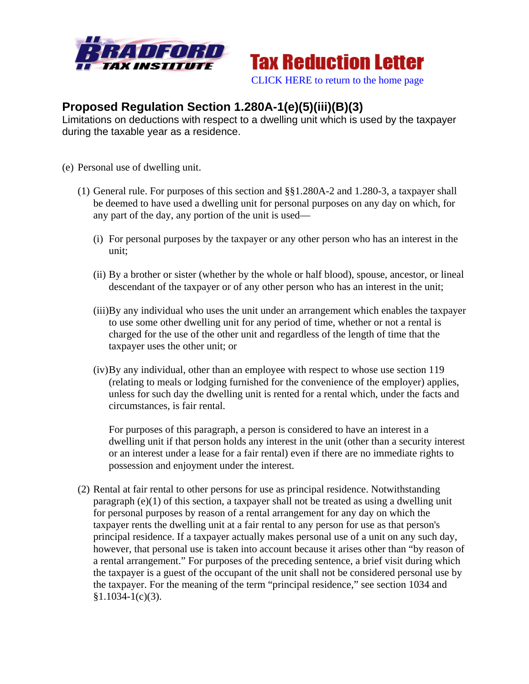



## **Proposed Regulation Section 1.280A-1(e)(5)(iii)(B)(3)**

Limitations on deductions with respect to a dwelling unit which is used by the taxpayer during the taxable year as a residence.

- (e) Personal use of dwelling unit.
	- (1) General rule. For purposes of this section and §§1.280A-2 and 1.280-3, a taxpayer shall be deemed to have used a dwelling unit for personal purposes on any day on which, for any part of the day, any portion of the unit is used—
		- (i) For personal purposes by the taxpayer or any other person who has an interest in the unit;
		- (ii) By a brother or sister (whether by the whole or half blood), spouse, ancestor, or lineal descendant of the taxpayer or of any other person who has an interest in the unit;
		- (iii)By any individual who uses the unit under an arrangement which enables the taxpayer to use some other dwelling unit for any period of time, whether or not a rental is charged for the use of the other unit and regardless of the length of time that the taxpayer uses the other unit; or
		- (iv)By any individual, other than an employee with respect to whose use section 119 (relating to meals or lodging furnished for the convenience of the employer) applies, unless for such day the dwelling unit is rented for a rental which, under the facts and circumstances, is fair rental.

For purposes of this paragraph, a person is considered to have an interest in a dwelling unit if that person holds any interest in the unit (other than a security interest or an interest under a lease for a fair rental) even if there are no immediate rights to possession and enjoyment under the interest.

(2) Rental at fair rental to other persons for use as principal residence. Notwithstanding paragraph  $(e)(1)$  of this section, a taxpayer shall not be treated as using a dwelling unit for personal purposes by reason of a rental arrangement for any day on which the taxpayer rents the dwelling unit at a fair rental to any person for use as that person's principal residence. If a taxpayer actually makes personal use of a unit on any such day, however, that personal use is taken into account because it arises other than "by reason of a rental arrangement." For purposes of the preceding sentence, a brief visit during which the taxpayer is a guest of the occupant of the unit shall not be considered personal use by the taxpayer. For the meaning of the term "principal residence," see section 1034 and  $§1.1034-1(c)(3).$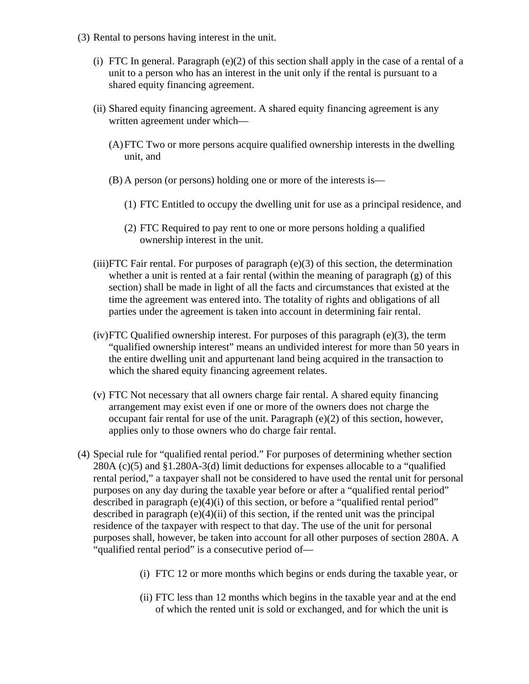- (3) Rental to persons having interest in the unit.
	- (i) FTC In general. Paragraph  $(e)(2)$  of this section shall apply in the case of a rental of a unit to a person who has an interest in the unit only if the rental is pursuant to a shared equity financing agreement.
	- (ii) Shared equity financing agreement. A shared equity financing agreement is any written agreement under which—
		- (A)FTC Two or more persons acquire qualified ownership interests in the dwelling unit, and
		- (B) A person (or persons) holding one or more of the interests is—
			- (1) FTC Entitled to occupy the dwelling unit for use as a principal residence, and
			- (2) FTC Required to pay rent to one or more persons holding a qualified ownership interest in the unit.
	- (iii)FTC Fair rental. For purposes of paragraph (e)(3) of this section, the determination whether a unit is rented at a fair rental (within the meaning of paragraph (g) of this section) shall be made in light of all the facts and circumstances that existed at the time the agreement was entered into. The totality of rights and obligations of all parties under the agreement is taken into account in determining fair rental.
	- (iv)FTC Qualified ownership interest. For purposes of this paragraph (e)(3), the term "qualified ownership interest" means an undivided interest for more than 50 years in the entire dwelling unit and appurtenant land being acquired in the transaction to which the shared equity financing agreement relates.
	- (v) FTC Not necessary that all owners charge fair rental. A shared equity financing arrangement may exist even if one or more of the owners does not charge the occupant fair rental for use of the unit. Paragraph (e)(2) of this section, however, applies only to those owners who do charge fair rental.
- (4) Special rule for "qualified rental period." For purposes of determining whether section 280A (c)(5) and §1.280A-3(d) limit deductions for expenses allocable to a "qualified rental period," a taxpayer shall not be considered to have used the rental unit for personal purposes on any day during the taxable year before or after a "qualified rental period" described in paragraph (e)(4)(i) of this section, or before a "qualified rental period" described in paragraph (e)(4)(ii) of this section, if the rented unit was the principal residence of the taxpayer with respect to that day. The use of the unit for personal purposes shall, however, be taken into account for all other purposes of section 280A. A "qualified rental period" is a consecutive period of—
	- (i) FTC 12 or more months which begins or ends during the taxable year, or
	- (ii) FTC less than 12 months which begins in the taxable year and at the end of which the rented unit is sold or exchanged, and for which the unit is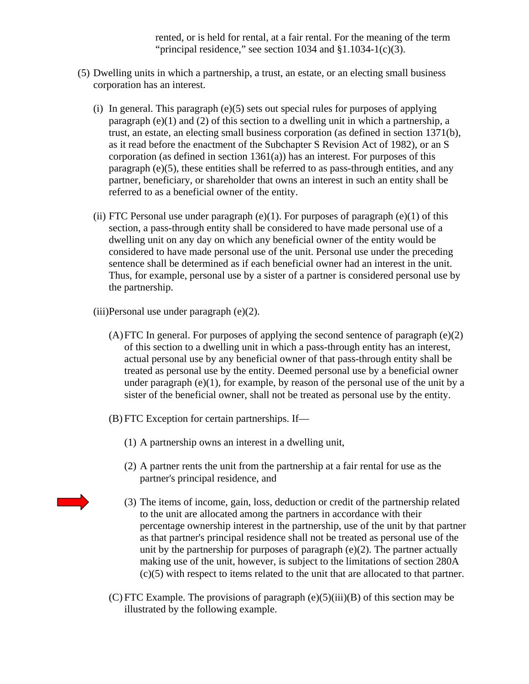rented, or is held for rental, at a fair rental. For the meaning of the term "principal residence," see section  $1034$  and  $$1.1034-1(c)(3)$ .

- (5) Dwelling units in which a partnership, a trust, an estate, or an electing small business corporation has an interest.
	- (i) In general. This paragraph (e)(5) sets out special rules for purposes of applying paragraph (e)(1) and (2) of this section to a dwelling unit in which a partnership, a trust, an estate, an electing small business corporation (as defined in section 1371(b), as it read before the enactment of the Subchapter S Revision Act of 1982), or an S corporation (as defined in section  $1361(a)$ ) has an interest. For purposes of this paragraph (e)(5), these entities shall be referred to as pass-through entities, and any partner, beneficiary, or shareholder that owns an interest in such an entity shall be referred to as a beneficial owner of the entity.
	- (ii) FTC Personal use under paragraph  $(e)(1)$ . For purposes of paragraph  $(e)(1)$  of this section, a pass-through entity shall be considered to have made personal use of a dwelling unit on any day on which any beneficial owner of the entity would be considered to have made personal use of the unit. Personal use under the preceding sentence shall be determined as if each beneficial owner had an interest in the unit. Thus, for example, personal use by a sister of a partner is considered personal use by the partnership.
	- $(iii)$ Personal use under paragraph  $(e)(2)$ .
		- $(A)$  FTC In general. For purposes of applying the second sentence of paragraph  $(e)(2)$ of this section to a dwelling unit in which a pass-through entity has an interest, actual personal use by any beneficial owner of that pass-through entity shall be treated as personal use by the entity. Deemed personal use by a beneficial owner under paragraph  $(e)(1)$ , for example, by reason of the personal use of the unit by a sister of the beneficial owner, shall not be treated as personal use by the entity.
		- (B) FTC Exception for certain partnerships. If—
			- (1) A partnership owns an interest in a dwelling unit,
			- (2) A partner rents the unit from the partnership at a fair rental for use as the partner's principal residence, and
			- (3) The items of income, gain, loss, deduction or credit of the partnership related to the unit are allocated among the partners in accordance with their percentage ownership interest in the partnership, use of the unit by that partner as that partner's principal residence shall not be treated as personal use of the unit by the partnership for purposes of paragraph (e)(2). The partner actually making use of the unit, however, is subject to the limitations of section 280A (c)(5) with respect to items related to the unit that are allocated to that partner.
		- (C) FTC Example. The provisions of paragraph  $(e)(5)(iii)(B)$  of this section may be illustrated by the following example.